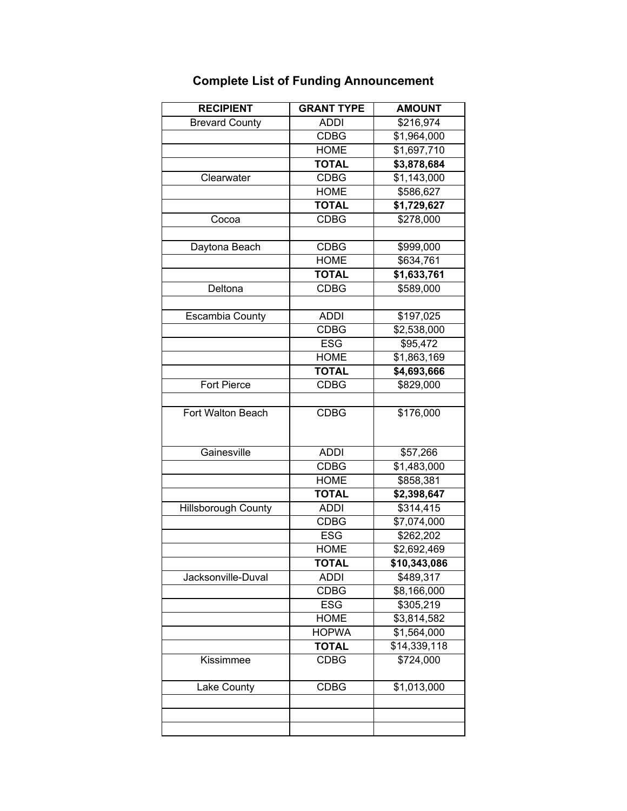| <b>GRANT TYPE</b> | <b>AMOUNT</b>              |
|-------------------|----------------------------|
| <b>ADDI</b>       | \$216,974                  |
| <b>CDBG</b>       | \$1,964,000                |
| <b>HOME</b>       | \$1,697,710                |
| <b>TOTAL</b>      | \$3,878,684                |
| <b>CDBG</b>       | \$1,143,000                |
| <b>HOME</b>       | \$586,627                  |
| <b>TOTAL</b>      | \$1,729,627                |
| <b>CDBG</b>       | \$278,000                  |
|                   |                            |
| <b>CDBG</b>       | \$999,000                  |
| <b>HOME</b>       | \$634,761                  |
| <b>TOTAL</b>      | \$1,633,761                |
| <b>CDBG</b>       | \$589,000                  |
|                   |                            |
| <b>ADDI</b>       | \$197,025                  |
| <b>CDBG</b>       | \$2,538,000                |
| <b>ESG</b>        | $\overline{$95,472}$       |
| <b>HOME</b>       | \$1,863,169                |
| <b>TOTAL</b>      | \$4,693,666                |
| <b>CDBG</b>       | \$829,000                  |
|                   |                            |
| <b>CDBG</b>       | \$176,000                  |
|                   |                            |
|                   | \$57,266                   |
| <b>CDBG</b>       | \$1,483,000                |
|                   | \$858,381                  |
| <b>TOTAL</b>      | \$2,398,647                |
| <b>ADDI</b>       | \$314,415                  |
| <b>CDBG</b>       | \$7,074,000                |
| <b>ESG</b>        | \$262,202                  |
| <b>HOME</b>       | \$2,692,469                |
| TOTAL             | \$10,343,086               |
| <b>ADDI</b>       | \$489,317                  |
| <b>CDBG</b>       | \$8,166,000                |
| <b>ESG</b>        | \$305,219                  |
| <b>HOME</b>       | \$3,814,582                |
| <b>HOPWA</b>      | \$1,564,000                |
| <b>TOTAL</b>      | \$14,339,118               |
| <b>CDBG</b>       | $\sqrt{$724,000}$          |
| <b>CDBG</b>       | \$1,013,000                |
|                   |                            |
|                   |                            |
|                   |                            |
|                   | <b>ADDI</b><br><b>HOME</b> |

## **Complete List of Funding Announcement**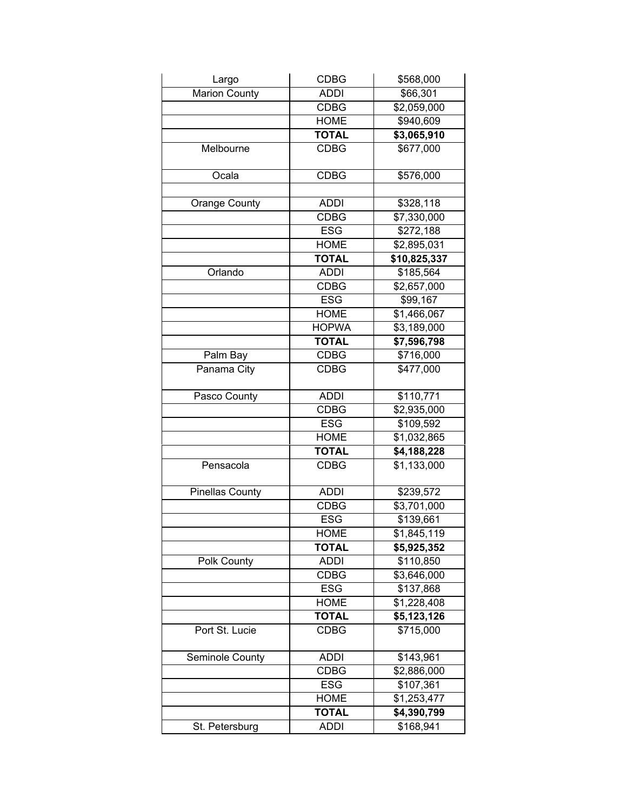| Largo                  | <b>CDBG</b>  | \$568,000    |
|------------------------|--------------|--------------|
| <b>Marion County</b>   | <b>ADDI</b>  | \$66,301     |
|                        | <b>CDBG</b>  | \$2,059,000  |
|                        | <b>HOME</b>  | \$940,609    |
|                        | <b>TOTAL</b> | \$3,065,910  |
| Melbourne              | <b>CDBG</b>  | \$677,000    |
| Ocala                  | <b>CDBG</b>  | \$576,000    |
| <b>Orange County</b>   | <b>ADDI</b>  | \$328,118    |
|                        | <b>CDBG</b>  | \$7,330,000  |
|                        | <b>ESG</b>   | \$272,188    |
|                        | <b>HOME</b>  | \$2,895,031  |
|                        | <b>TOTAL</b> | \$10,825,337 |
| Orlando                | <b>ADDI</b>  | \$185,564    |
|                        | <b>CDBG</b>  | \$2,657,000  |
|                        | <b>ESG</b>   | \$99,167     |
|                        | <b>HOME</b>  | \$1,466,067  |
|                        | <b>HOPWA</b> | \$3,189,000  |
|                        | <b>TOTAL</b> | \$7,596,798  |
| Palm Bay               | <b>CDBG</b>  | \$716,000    |
| Panama City            | <b>CDBG</b>  | \$477,000    |
|                        |              |              |
| Pasco County           | <b>ADDI</b>  | \$110,771    |
|                        | <b>CDBG</b>  | \$2,935,000  |
|                        | <b>ESG</b>   | \$109,592    |
|                        | <b>HOME</b>  | \$1,032,865  |
|                        | <b>TOTAL</b> | \$4,188,228  |
| Pensacola              | <b>CDBG</b>  | \$1,133,000  |
| <b>Pinellas County</b> | <b>ADDI</b>  | \$239,572    |
|                        | <b>CDBG</b>  | \$3,701,000  |
|                        | <b>ESG</b>   | \$139,661    |
|                        | <b>HOME</b>  | \$1,845,119  |
|                        | <b>TOTAL</b> | \$5,925,352  |
| Polk County            | <b>ADDI</b>  | \$110,850    |
|                        | <b>CDBG</b>  | \$3,646,000  |
|                        | <b>ESG</b>   | \$137,868    |
|                        | <b>HOME</b>  | \$1,228,408  |
|                        | <b>TOTAL</b> | \$5,123,126  |
| Port St. Lucie         | <b>CDBG</b>  | \$715,000    |
| Seminole County        | <b>ADDI</b>  | \$143,961    |
|                        | <b>CDBG</b>  | \$2,886,000  |
|                        | <b>ESG</b>   | \$107,361    |
|                        | <b>HOME</b>  | \$1,253,477  |
|                        | <b>TOTAL</b> | \$4,390,799  |
| St. Petersburg         | <b>ADDI</b>  | \$168,941    |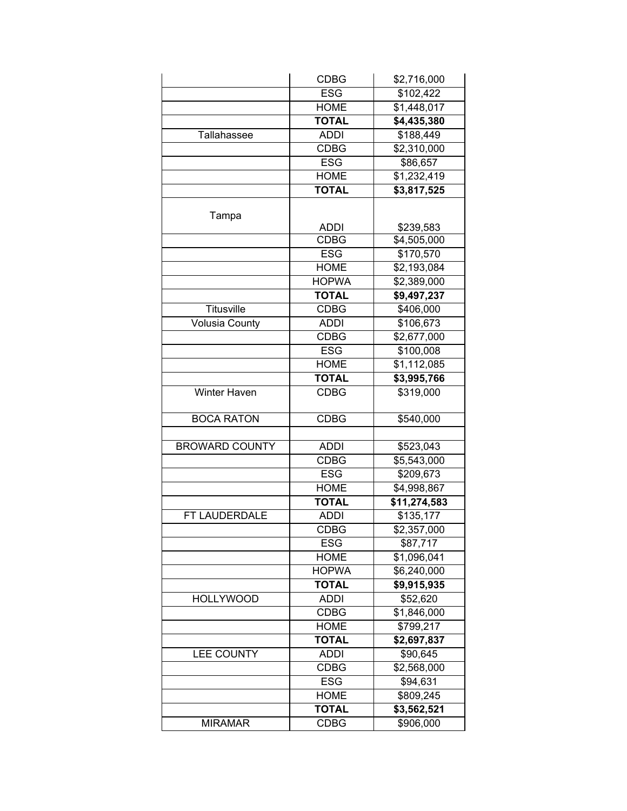|                       | <b>CDBG</b>  | \$2,716,000  |
|-----------------------|--------------|--------------|
|                       | <b>ESG</b>   | \$102,422    |
|                       | <b>HOME</b>  | \$1,448,017  |
|                       | <b>TOTAL</b> | \$4,435,380  |
| Tallahassee           | <b>ADDI</b>  | \$188,449    |
|                       | <b>CDBG</b>  | \$2,310,000  |
|                       | <b>ESG</b>   | \$86,657     |
|                       | <b>HOME</b>  | \$1,232,419  |
|                       | <b>TOTAL</b> | \$3,817,525  |
|                       |              |              |
| Tampa                 |              |              |
|                       | <b>ADDI</b>  | \$239,583    |
|                       | <b>CDBG</b>  | \$4,505,000  |
|                       | <b>ESG</b>   | \$170,570    |
|                       | <b>HOME</b>  | \$2,193,084  |
|                       | <b>HOPWA</b> | \$2,389,000  |
|                       | <b>TOTAL</b> | \$9,497,237  |
| <b>Titusville</b>     | <b>CDBG</b>  | \$406,000    |
| <b>Volusia County</b> | <b>ADDI</b>  | \$106,673    |
|                       | <b>CDBG</b>  | \$2,677,000  |
|                       | <b>ESG</b>   | \$100,008    |
|                       | <b>HOME</b>  | \$1,112,085  |
|                       | <b>TOTAL</b> | \$3,995,766  |
| Winter Haven          | <b>CDBG</b>  | \$319,000    |
| <b>BOCA RATON</b>     | <b>CDBG</b>  | \$540,000    |
|                       |              |              |
| <b>BROWARD COUNTY</b> | <b>ADDI</b>  | \$523,043    |
|                       | <b>CDBG</b>  | \$5,543,000  |
|                       | <b>ESG</b>   | \$209,673    |
|                       | <b>HOME</b>  | \$4,998,867  |
|                       | <b>TOTAL</b> | \$11,274,583 |
| FT LAUDERDALE         | <b>ADDI</b>  | \$135,177    |
|                       | CDBG         | \$2,357,000  |
|                       | <b>ESG</b>   | \$87,717     |
|                       | <b>HOME</b>  | \$1,096,041  |
|                       | <b>HOPWA</b> | \$6,240,000  |
|                       | <b>TOTAL</b> | \$9,915,935  |
| <b>HOLLYWOOD</b>      | <b>ADDI</b>  | \$52,620     |
|                       | <b>CDBG</b>  | \$1,846,000  |
|                       | <b>HOME</b>  | \$799,217    |
|                       | <b>TOTAL</b> | \$2,697,837  |
| <b>LEE COUNTY</b>     | <b>ADDI</b>  | \$90,645     |
|                       | <b>CDBG</b>  | \$2,568,000  |
|                       | <b>ESG</b>   | \$94,631     |
|                       | <b>HOME</b>  | \$809,245    |
|                       | <b>TOTAL</b> | \$3,562,521  |
| <b>MIRAMAR</b>        | <b>CDBG</b>  | \$906,000    |